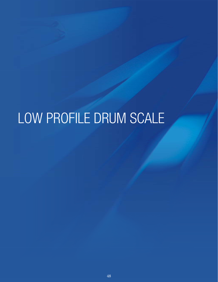# LOW PROFILE DRUM SCALE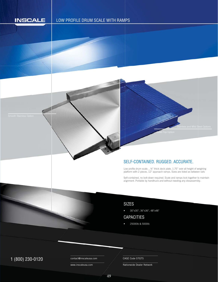# **INSCALE**

# LOW PROFILE DRUM SCALE WITH RAMPS



#### SELF-CONTAINED. RUGGED. ACCURATE.

Low profile drum scale. , ¼" thick deck plate, 1.75" over all height of weighing platform with 2 pieces, 12" approach ramps. Sizes are listed as between rails Lo p

Self-contained, no bolt-down required. Scale and ramps lock together to maintain S alignment. Portable by handtruck and without needing any dissassembly.

#### SIZES

• 30"x30", 36"x36", 48"x48"

# CAPACITIES

• 25000lb & 5000lb

# $1 (800) 230 - 0120$  Contact@inscaleusa.com CAGE Code 07GT5

contact@inscaleusa.com

www.inscaleusa.com

Nationwide Dealer Network

49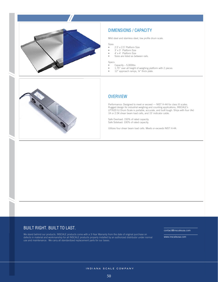

# DIMENSIONS / CAPACITY

Mild steel and stainless steel, low profile drum scale.

Sizes

- 2.5' x 2.5' Platform Size
- 3' x 3' Platform Size
- $4' \times 4'$  Platform Size<br>• Sizes are listed as be
- Sizes are listed as between rails.

Specs

• Capacity – 5,000lbs

- 1.75" over all height of weighing platform with 2 pieces
- 12" approach ramps, 1/4" thick plate.



### **OVERVIEW**

Performance: Designed to meet or exceed — NIST H-44 for class III scales. Rugged design for industrial weighing and counting applications, INSCALE's LP7620 IU Drum Scale is portable, accurate, and built tough. Ships with four (4x) 1K or 2.5K shear beam load cells, and 15' indicator cable.

Safe Overload: 150% of rated capacity. Safe Sideload: 100% of rated capacity.

Utilizes four shear beam load cells. Meets or exceeds NIST H-44.

#### BUILT RIGHT. BUILT TO LAST.

We stand behind our products. INSCALE products come with a 3-Year Warranty from the date of original purchase on defects in material and workmanship for all INSCALE products properly installed by an authorized distributor under normal use and maintenance. We carry all standardized replacement parts for our bases.

contact@inscaleusa.com

www.inscaleusa.com

INDIANA SCALE COMPANY